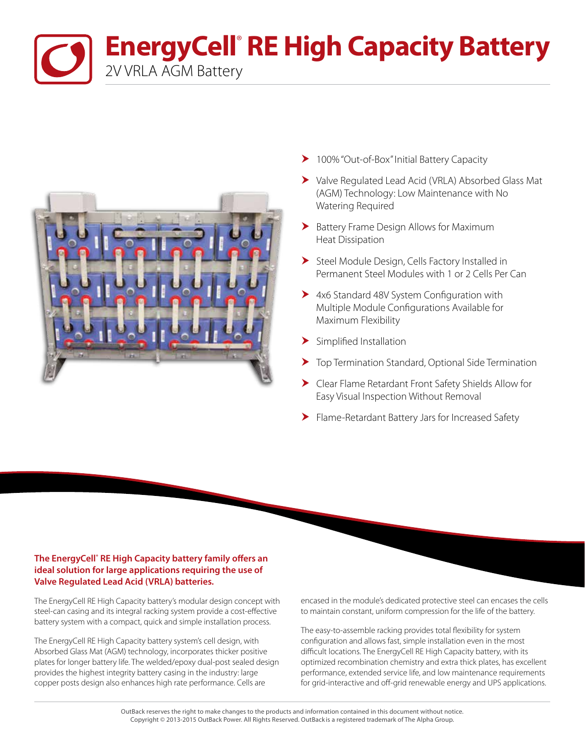**EnergyCell<sup>®</sup> RE High Capacity Battery** 2V VRLA AGM Battery



- ▶ 100% "Out-of-Box" Initial Battery Capacity
- Valve Regulated Lead Acid (VRLA) Absorbed Glass Mat (AGM) Technology: Low Maintenance with No Watering Required
- Battery Frame Design Allows for Maximum Heat Dissipation
- Steel Module Design, Cells Factory Installed in Permanent Steel Modules with 1 or 2 Cells Per Can
- ▶ 4x6 Standard 48V System Configuration with Multiple Module Configurations Available for Maximum Flexibility
- > Simplified Installation
- Top Termination Standard, Optional Side Termination
- Clear Flame Retardant Front Safety Shields Allow for Easy Visual Inspection Without Removal
- Flame-Retardant Battery Jars for Increased Safety

## **The EnergyCell® RE High Capacity battery family offers an ideal solution for large applications requiring the use of Valve Regulated Lead Acid (VRLA) batteries.**

The EnergyCell RE High Capacity battery's modular design concept with steel-can casing and its integral racking system provide a cost-effective battery system with a compact, quick and simple installation process.

The EnergyCell RE High Capacity battery system's cell design, with Absorbed Glass Mat (AGM) technology, incorporates thicker positive plates for longer battery life. The welded/epoxy dual-post sealed design provides the highest integrity battery casing in the industry: large copper posts design also enhances high rate performance. Cells are

encased in the module's dedicated protective steel can encases the cells to maintain constant, uniform compression for the life of the battery.

The easy-to-assemble racking provides total flexibility for system configuration and allows fast, simple installation even in the most difficult locations. The EnergyCell RE High Capacity battery, with its optimized recombination chemistry and extra thick plates, has excellent performance, extended service life, and low maintenance requirements for grid-interactive and off-grid renewable energy and UPS applications.

OutBack reserves the right to make changes to the products and information contained in this document without notice. Copyright © 2013-2015 OutBack Power. All Rights Reserved. OutBack is a registered trademark of The Alpha Group.